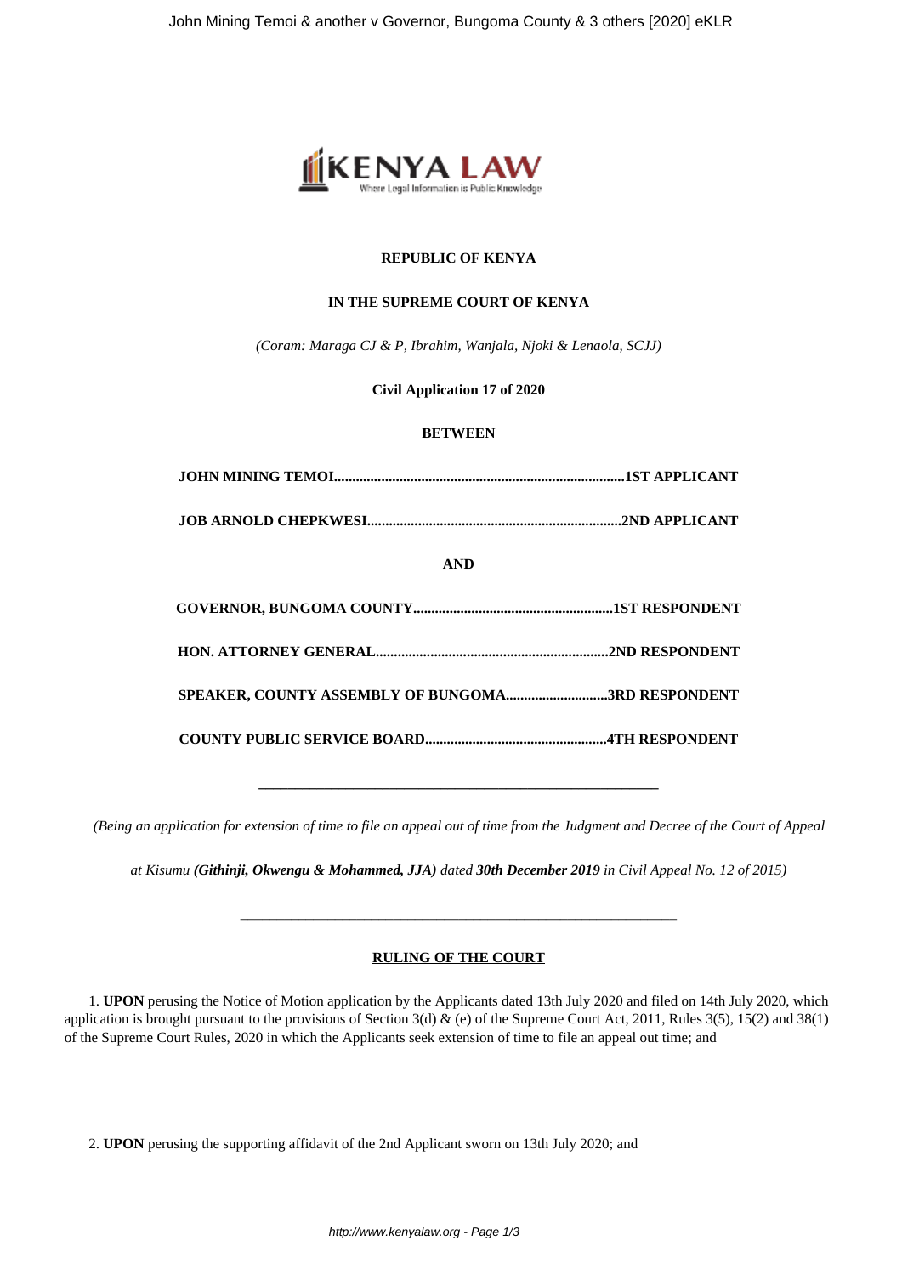

# **REPUBLIC OF KENYA**

## **IN THE SUPREME COURT OF KENYA**

*(Coram: Maraga CJ & P, Ibrahim, Wanjala, Njoki & Lenaola, SCJJ)*

# **Civil Application 17 of 2020**

### **BETWEEN**

| <b>AND</b>                                        |  |
|---------------------------------------------------|--|
|                                                   |  |
|                                                   |  |
| SPEAKER, COUNTY ASSEMBLY OF BUNGOMA3RD RESPONDENT |  |
|                                                   |  |

*(Being an application for extension of time to file an appeal out of time from the Judgment and Decree of the Court of Appeal*

**\_\_\_\_\_\_\_\_\_\_\_\_\_\_\_\_\_\_\_\_\_\_\_\_\_\_\_\_\_\_\_\_\_\_\_\_\_\_\_\_\_\_\_\_\_\_\_\_\_\_\_\_\_\_\_**

*at Kisumu (Githinji, Okwengu & Mohammed, JJA) dated 30th December 2019 in Civil Appeal No. 12 of 2015)*

## **RULING OF THE COURT**

*\_\_\_\_\_\_\_\_\_\_\_\_\_\_\_\_\_\_\_\_\_\_\_\_\_\_\_\_\_\_\_\_\_\_\_\_\_\_\_\_\_\_\_\_\_\_\_\_\_\_\_\_\_\_\_\_\_\_\_\_*

1. **UPON** perusing the Notice of Motion application by the Applicants dated 13th July 2020 and filed on 14th July 2020, which application is brought pursuant to the provisions of Section 3(d) & (e) of the Supreme Court Act, 2011, Rules 3(5), 15(2) and 38(1) of the Supreme Court Rules, 2020 in which the Applicants seek extension of time to file an appeal out time; and

2. **UPON** perusing the supporting affidavit of the 2nd Applicant sworn on 13th July 2020; and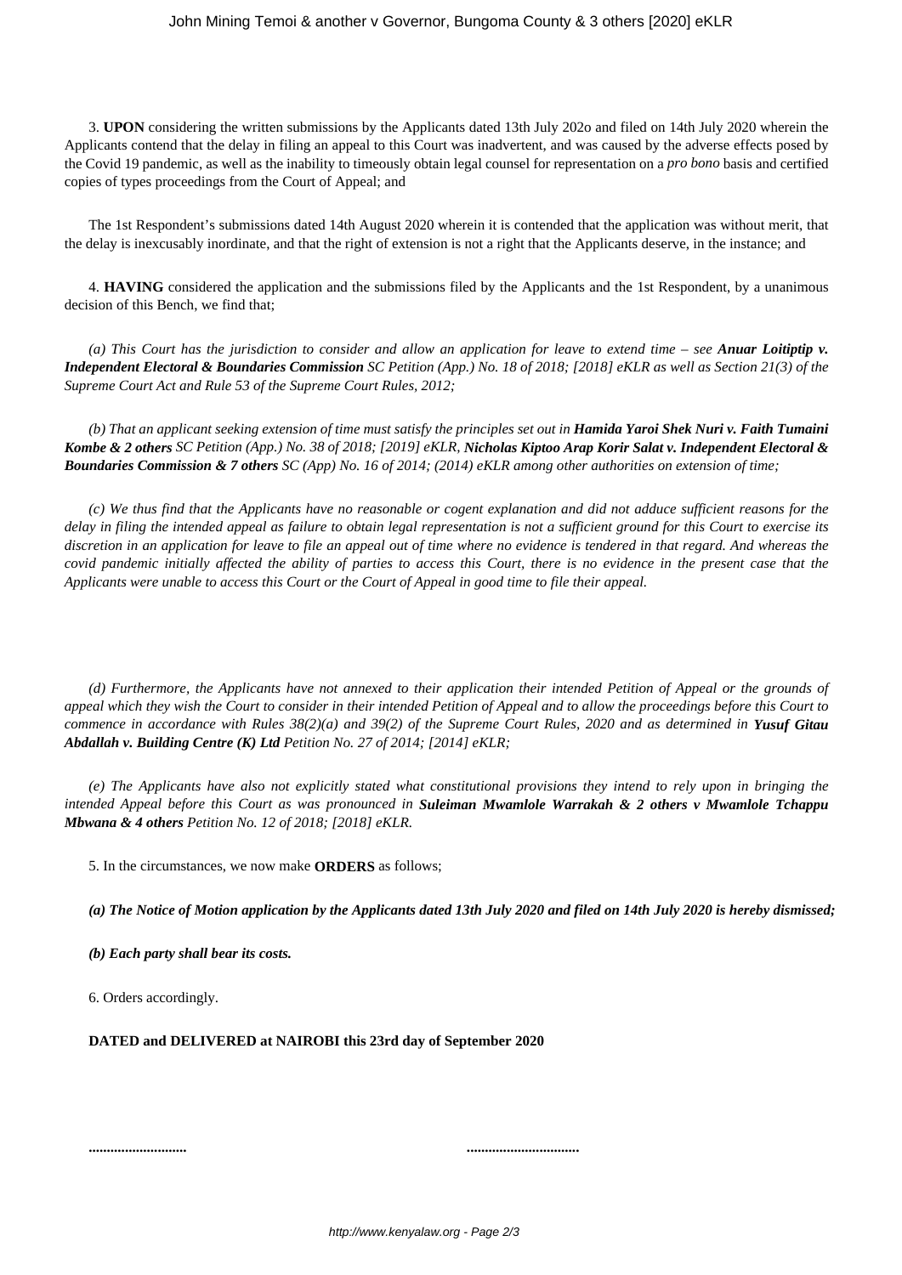3. **UPON** considering the written submissions by the Applicants dated 13th July 202o and filed on 14th July 2020 wherein the Applicants contend that the delay in filing an appeal to this Court was inadvertent, and was caused by the adverse effects posed by the Covid 19 pandemic, as well as the inability to timeously obtain legal counsel for representation on a *pro bono* basis and certified copies of types proceedings from the Court of Appeal; and

The 1st Respondent's submissions dated 14th August 2020 wherein it is contended that the application was without merit, that the delay is inexcusably inordinate, and that the right of extension is not a right that the Applicants deserve, in the instance; and

4. **HAVING** considered the application and the submissions filed by the Applicants and the 1st Respondent, by a unanimous decision of this Bench, we find that;

*(a) This Court has the jurisdiction to consider and allow an application for leave to extend time – see Anuar Loitiptip v. Independent Electoral & Boundaries Commission SC Petition (App.) No. 18 of 2018; [2018] eKLR as well as Section 21(3) of the Supreme Court Act and Rule 53 of the Supreme Court Rules, 2012;*

*(b) That an applicant seeking extension of time must satisfy the principles set out in Hamida Yaroi Shek Nuri v. Faith Tumaini Kombe & 2 others SC Petition (App.) No. 38 of 2018; [2019] eKLR, Nicholas Kiptoo Arap Korir Salat v. Independent Electoral & Boundaries Commission & 7 others SC (App) No. 16 of 2014; (2014) eKLR among other authorities on extension of time;*

*(c) We thus find that the Applicants have no reasonable or cogent explanation and did not adduce sufficient reasons for the delay in filing the intended appeal as failure to obtain legal representation is not a sufficient ground for this Court to exercise its discretion in an application for leave to file an appeal out of time where no evidence is tendered in that regard. And whereas the covid pandemic initially affected the ability of parties to access this Court, there is no evidence in the present case that the Applicants were unable to access this Court or the Court of Appeal in good time to file their appeal.*

*(d) Furthermore, the Applicants have not annexed to their application their intended Petition of Appeal or the grounds of appeal which they wish the Court to consider in their intended Petition of Appeal and to allow the proceedings before this Court to commence in accordance with Rules 38(2)(a) and 39(2) of the Supreme Court Rules, 2020 and as determined in Yusuf Gitau Abdallah v. Building Centre (K) Ltd Petition No. 27 of 2014; [2014] eKLR;*

*(e) The Applicants have also not explicitly stated what constitutional provisions they intend to rely upon in bringing the intended Appeal before this Court as was pronounced in Suleiman Mwamlole Warrakah & 2 others v Mwamlole Tchappu Mbwana & 4 others Petition No. 12 of 2018; [2018] eKLR.*

5. In the circumstances, we now make **ORDERS** as follows;

*(a) The Notice of Motion application by the Applicants dated 13th July 2020 and filed on 14th July 2020 is hereby dismissed;*

*(b) Each party shall bear its costs.*

6. Orders accordingly.

**DATED and DELIVERED at NAIROBI this 23rd day of September 2020**

**........................... ...............................**